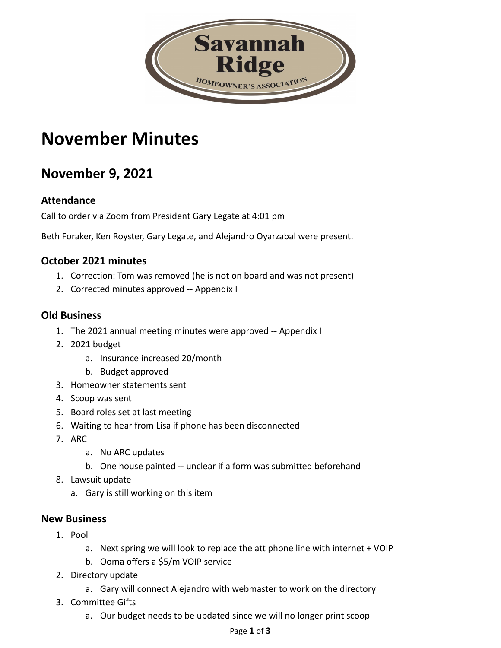

# **November Minutes**

## **November 9, 2021**

#### **Attendance**

Call to order via Zoom from President Gary Legate at 4:01 pm

Beth Foraker, Ken Royster, Gary Legate, and Alejandro Oyarzabal were present.

#### **October 2021 minutes**

- 1. Correction: Tom was removed (he is not on board and was not present)
- 2. Corrected minutes approved -- Appendix I

#### **Old Business**

- 1. The 2021 annual meeting minutes were approved -- Appendix I
- 2. 2021 budget
	- a. Insurance increased 20/month
	- b. Budget approved
- 3. Homeowner statements sent
- 4. Scoop was sent
- 5. Board roles set at last meeting
- 6. Waiting to hear from Lisa if phone has been disconnected
- 7. ARC
	- a. No ARC updates
	- b. One house painted -- unclear if a form was submitted beforehand
- 8. Lawsuit update
	- a. Gary is still working on this item

#### **New Business**

- 1. Pool
	- a. Next spring we will look to replace the att phone line with internet + VOIP
	- b. Ooma offers a \$5/m VOIP service
- 2. Directory update
	- a. Gary will connect Alejandro with webmaster to work on the directory
- 3. Committee Gifts
	- a. Our budget needs to be updated since we will no longer print scoop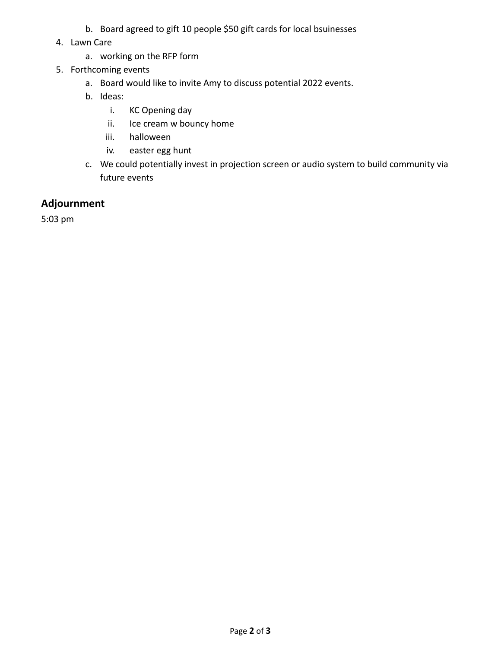- b. Board agreed to gift 10 people \$50 gift cards for local bsuinesses
- 4. Lawn Care
	- a. working on the RFP form
- 5. Forthcoming events
	- a. Board would like to invite Amy to discuss potential 2022 events.
	- b. Ideas:
		- i. KC Opening day
		- ii. Ice cream w bouncy home
		- iii. halloween
		- iv. easter egg hunt
	- c. We could potentially invest in projection screen or audio system to build community via future events

#### **Adjournment**

5:03 pm